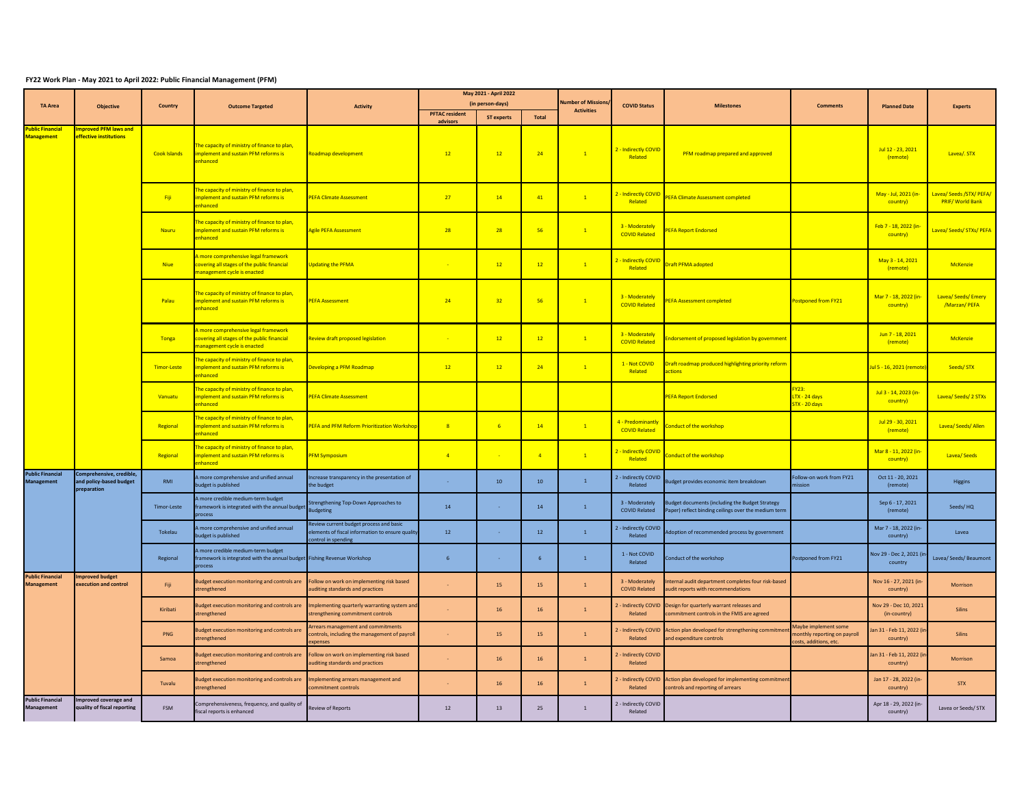## **FY22 Work Plan - May 2021 to April 2022: Public Financial Management (PFM)**

|                                              | <b>Objective</b>                                                  | Country             | <b>Outcome Targeted</b>                                                                                                  | <b>Activity</b>                                                                                                  | May 2021 - April 2022 |                   |                  | Jumber of Mission | <b>COVID Status</b>                       | <b>Milestones</b>                                                                                       | <b>Comments</b>                                                                | <b>Planned Date</b>                   | <b>Experts</b>                           |
|----------------------------------------------|-------------------------------------------------------------------|---------------------|--------------------------------------------------------------------------------------------------------------------------|------------------------------------------------------------------------------------------------------------------|-----------------------|-------------------|------------------|-------------------|-------------------------------------------|---------------------------------------------------------------------------------------------------------|--------------------------------------------------------------------------------|---------------------------------------|------------------------------------------|
| <b>TA Area</b>                               |                                                                   |                     |                                                                                                                          |                                                                                                                  | (in person-days)      |                   |                  |                   |                                           |                                                                                                         |                                                                                |                                       |                                          |
|                                              |                                                                   |                     |                                                                                                                          |                                                                                                                  | <b>PFTAC resident</b> | <b>ST experts</b> | Total            | <b>Activities</b> |                                           |                                                                                                         |                                                                                |                                       |                                          |
| ublic Financial<br><b>Management</b>         | mproved PFM laws and<br><b>ffective institutions</b>              | <b>Cook Islands</b> | The capacity of ministry of finance to plan,<br>mplement and sustain PFM reforms is<br>enhanced                          | toadmap development                                                                                              | advisors<br>12        | 12                | 24               | $\mathbf{1}$      | 2 - Indirectly COVID<br>Related           | PFM roadmap prepared and approved                                                                       |                                                                                | Jul 12 - 23, 2021<br>(remote)         | Lavea/. STX                              |
|                                              |                                                                   | Fiji                | The capacity of ministry of finance to plan,<br>nplement and sustain PFM reforms is<br>nhanced                           | <b>PEFA Climate Assessment</b>                                                                                   | 27                    | 14                | 41               | $\overline{1}$    | 2 - Indirectly COVID<br>Related           | <b>PEFA Climate Assessment completed</b>                                                                |                                                                                | May - Jul, 2021 (in-<br>country)      | Lavea/Seeds/STX/PEFA/<br>PRIF/World Bank |
|                                              |                                                                   | Nauru               | he capacity of ministry of finance to plan,<br>nplement and sustain PFM reforms is<br>nhanced                            | gile PEFA Assessment                                                                                             | 28                    | 28                | 56               | $\mathbf{1}$      | 3 - Moderately<br><b>COVID Related</b>    | <b>PEFA Report Endorsed</b>                                                                             |                                                                                | Feb 7 - 18, 2022 (in-<br>country)     | avea/ Seeds/ STXs/ PEFA                  |
|                                              |                                                                   | <b>Niue</b>         | more comprehensive legal framework<br><b>overing all stages of the public financial</b><br>anagement cycle is enacted    | <b>Jpdating the PFMA</b>                                                                                         |                       | 12                | 12               | $\mathbf{1}$      | Indirectly COVID<br>Related               | <b>Draft PFMA adopted</b>                                                                               |                                                                                | May 3 - 14, 2021<br>(remote)          | <b>McKenzie</b>                          |
|                                              |                                                                   | Palau               | The capacity of ministry of finance to plan,<br>mplement and sustain PFM reforms is<br>enhanced                          | <b>PEFA Assessment</b>                                                                                           | 24                    | 32                | 56               | $\mathbf{1}$      | 3 - Moderately<br><b>COVID Related</b>    | <b>PEFA Assessment completed</b>                                                                        | Postponed from FY21                                                            | Mar 7 - 18, 2022 (in-<br>country)     | Lavea/Seeds/Emery<br>/Marzan/ PEFA       |
|                                              |                                                                   | Tonga               | more comprehensive legal framework<br>covering all stages of the public financial<br>management cycle is enacted         | Review draft proposed legislation                                                                                |                       | 12                | 12               | $\mathbf{1}$      | 3 - Moderately<br><b>COVID Related</b>    | ndorsement of proposed legislation by government                                                        |                                                                                | Jun 7 - 18, 2021<br>(remote)          | McKenzie                                 |
|                                              |                                                                   | <b>Timor-Leste</b>  | The capacity of ministry of finance to plan,<br>mplement and sustain PFM reforms is<br>enhanced                          | Developing a PFM Roadmap                                                                                         | 12                    | 12                | 24               | $\mathbf{1}$      | 1 - Not COVID<br>Related                  | Draft roadmap produced highlighting priority reform<br>actions                                          |                                                                                | Jul 5 - 16, 2021 (remote              | Seeds/STX                                |
|                                              |                                                                   | Vanuatu             | he capacity of ministry of finance to plan,<br>mplement and sustain PFM reforms is<br>nhanced                            | <b>PEFA Climate Assessment</b>                                                                                   |                       |                   |                  |                   |                                           | <b>PEFA Report Endorsed</b>                                                                             | $-Y23:$<br>LTX - 24 days<br>STX - 20 days                                      | Jul 3 - 14, 2023 (in-<br>country)     | Lavea/Seeds/2STXs                        |
|                                              |                                                                   | Regional            | The capacity of ministry of finance to plan,<br>mplement and sustain PFM reforms is<br>nhanced                           | <b>EFA and PFM Reform Prioritization Workshop</b>                                                                | $\overline{R}$        | -6                | $-14$            | $\mathbf{1}$      | 4 - Predominantly<br><b>COVID Related</b> | conduct of the workshop                                                                                 |                                                                                | Jul 29 - 30, 2021<br>(remote)         | Lavea/ Seeds/ Allen                      |
|                                              |                                                                   | Regional            | he capacity of ministry of finance to plan,<br>mplement and sustain PFM reforms is<br>nhanced                            | <b>PFM Symposium</b>                                                                                             | $\overline{4}$        |                   | $\overline{4}$   | $\mathbf{1}$      | 2 - Indirectly COVID<br>Related           | <b>Conduct of the workshop</b>                                                                          |                                                                                | Mar 8 - 11, 2022 (in-<br>country)     | <b>Lavea/Seeds</b>                       |
| <b>Public Financial</b><br><b>Management</b> | Comprehensive, credible<br>and policy-based budget<br>preparation | RMI                 | A more comprehensive and unified annual<br>budget is published                                                           | Increase transparency in the presentation of<br>he budget                                                        |                       | 10 <sup>10</sup>  | 10 <sup>10</sup> | $\mathbf{1}$      | 2 - Indirectly COVID<br>Related           | Budget provides economic item breakdown                                                                 | Follow-on work from FY21<br>nission                                            | Oct 11 - 20, 2021<br>(remote)         | Higgins                                  |
|                                              |                                                                   | <b>Timor-Leste</b>  | A more credible medium-term budget<br>framework is integrated with the annual budget<br>process                          | <b>Strengthening Top-Down Approaches to</b><br>udgeting                                                          | 14                    | na.               | 14               | $\mathbf{1}$      | 3 - Moderately<br><b>COVID Related</b>    | Judget documents (including the Budget Strategy<br>Paper) reflect binding ceilings over the medium term |                                                                                | Sep 6 - 17, 2021<br>(remote)          | Seeds/HO                                 |
|                                              |                                                                   | Tokelau             | A more comprehensive and unified annual<br>oudget is published                                                           | Review current budget process and basic<br>lements of fiscal information to ensure quality<br>ontrol in spending | 12 <sup>°</sup>       |                   | 12               | $\overline{1}$    | 2 - Indirectly COVID<br>Related           | Adoption of recommended process by government                                                           |                                                                                | Mar 7 - 18, 2022 (in-<br>country)     | Lavea                                    |
|                                              |                                                                   | Regional            | A more credible medium-term budget<br>framework is integrated with the annual budget Fishing Revenue Workshop<br>process |                                                                                                                  | 6                     | $\sim$            | 6                | $\mathbf{1}$      | 1 - Not COVID<br>Related                  | conduct of the workshop                                                                                 | Postponed from FY21                                                            | Nov 29 - Dec 2, 2021 (ir<br>country   | Lavea/ Seeds/ Beaumont                   |
| <b>Public Financial</b><br><b>Management</b> | mproved budget<br>xecution and control                            | Fiji                | Budget execution monitoring and controls are<br>trengthened                                                              | ollow on work on implementing risk based<br>uditing standards and practices                                      |                       | 15                | 15               | $\mathbf{1}$      | 3 - Moderately<br><b>COVID Related</b>    | ternal audit department completes four risk-based<br>audit reports with recommendations                 |                                                                                | Nov 16 - 27, 2021 (in-<br>country)    | Morrison                                 |
|                                              |                                                                   | Kiribati            | Budget execution monitoring and controls are<br>strengthened                                                             | mplementing quarterly warranting system and<br>strengthening commitment controls                                 |                       | 16                | 16               | $\overline{1}$    | 2 - Indirectly COVID<br>Related           | Design for quarterly warrant releases and<br>commitment controls in the FMIS are agreed                 |                                                                                | Nov 29 - Dec 10, 2021<br>(in-country) | Silins                                   |
|                                              |                                                                   | PNG                 | Budget execution monitoring and controls are<br>strengthened                                                             | Arrears management and commitments<br>ontrols, including the management of payroll<br>xpenses                    |                       | 15                | 15               | $\,$ 1 $\,$       | 2 - Indirectly COVID<br>Related           | Action plan developed for strengthening commitme<br>and expenditure controls                            | Maybe implement some<br>nonthly reporting on payroll<br>costs, additions, etc. | Jan 31 - Feb 11, 2022 (i<br>country)  | Silins                                   |
|                                              |                                                                   | Samoa               | Budget execution monitoring and controls are<br>strengthened                                                             | ollow on work on implementing risk based<br>uditing standards and practices                                      |                       | 16                | 16               | $\overline{1}$    | 2 - Indirectly COVID<br>Related           |                                                                                                         |                                                                                | Jan 31 - Feb 11, 2022 (i<br>country)  | Morrison                                 |
|                                              |                                                                   | Tuvalu              | Budget execution monitoring and controls are<br>trengthened                                                              | mplementing arrears management and<br>ommitment controls                                                         |                       | 16                | 16               | $\mathbf{1}$      | 2 - Indirectly COVID<br>Related           | Action plan developed for implementing commitmen<br>ontrols and reporting of arrears                    |                                                                                | Jan 17 - 28, 2022 (in-<br>country)    | <b>STX</b>                               |
| <b>Public Financial</b><br><b>Management</b> | nproved coverage and<br>uality of fiscal reporting                | <b>FSM</b>          | Comprehensiveness, frequency, and quality of<br>fiscal reports is enhanced                                               | teview of Reports                                                                                                | 12                    | 13                | 25               | $\mathbf{1}$      | 2 - Indirectly COVID<br>Related           |                                                                                                         |                                                                                | Apr 18 - 29, 2022 (in-<br>country)    | Lavea or Seeds/ STX                      |